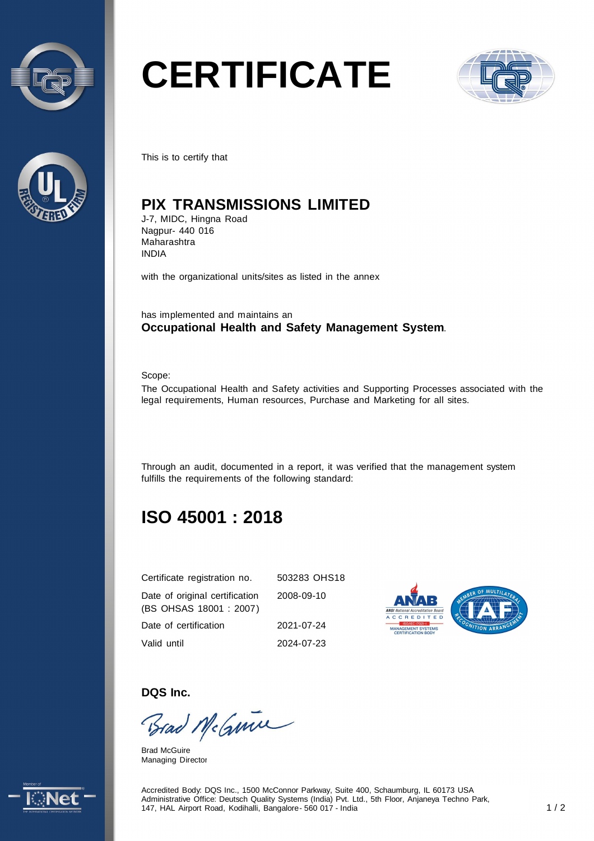



# **CERTIFICATE**



This is to certify that

# **PIX TRANSMISSIONS LIMITED**

J-7, MIDC, Hingna Road Nagpur- 440 016 Maharashtra INDIA

with the organizational units/sites as listed in the annex

has implemented and maintains an **Occupational Health and Safety Management System**.

Scope:

The Occupational Health and Safety activities and Supporting Processes associated with the legal requirements, Human resources, Purchase and Marketing for all sites.

Through an audit, documented in a report, it was verified that the management system fulfills the requirements of the following standard:

# **ISO 45001 : 2018**

| Certificate registration no.                              | 503283 OHS18 |
|-----------------------------------------------------------|--------------|
| Date of original certification<br>(BS OHSAS 18001 : 2007) | 2008-09-10   |
| Date of certification                                     | 2021-07-24   |
| Valid until                                               | 2024-07-23   |



**DQS Inc.** 

Brad McGuine

Brad McGuire Managing Director



Accredited Body: DQS Inc., 1500 McConnor Parkway, Suite 400, Schaumburg, IL 60173 USA Administrative Office: Deutsch Quality Systems (India) Pvt. Ltd., 5th Floor, Anjaneya Techno Park, 147, HAL Airport Road, Kodihalli, Bangalore - 560 017 - India 1 / 2